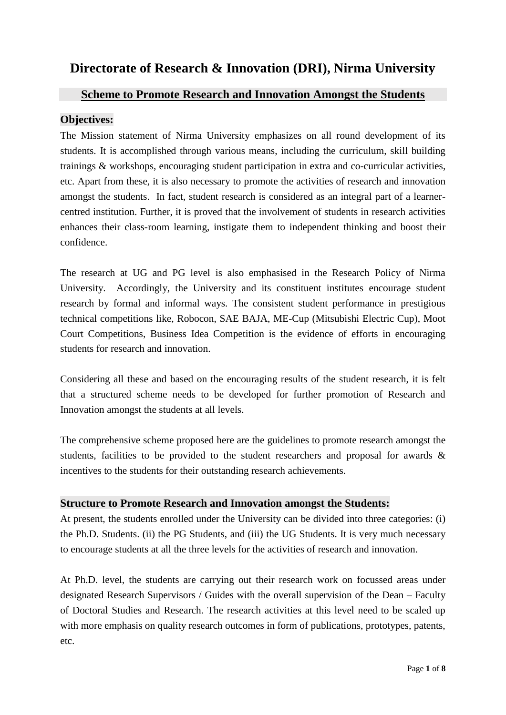# **Directorate of Research & Innovation (DRI), Nirma University**

## **Scheme to Promote Research and Innovation Amongst the Students**

## **Objectives:**

The Mission statement of Nirma University emphasizes on all round development of its students. It is accomplished through various means, including the curriculum, skill building trainings & workshops, encouraging student participation in extra and co-curricular activities, etc. Apart from these, it is also necessary to promote the activities of research and innovation amongst the students. In fact, student research is considered as an integral part of a learnercentred institution. Further, it is proved that the involvement of students in research activities enhances their class-room learning, instigate them to independent thinking and boost their confidence.

The research at UG and PG level is also emphasised in the Research Policy of Nirma University. Accordingly, the University and its constituent institutes encourage student research by formal and informal ways. The consistent student performance in prestigious technical competitions like, Robocon, SAE BAJA, ME-Cup (Mitsubishi Electric Cup), Moot Court Competitions, Business Idea Competition is the evidence of efforts in encouraging students for research and innovation.

Considering all these and based on the encouraging results of the student research, it is felt that a structured scheme needs to be developed for further promotion of Research and Innovation amongst the students at all levels.

The comprehensive scheme proposed here are the guidelines to promote research amongst the students, facilities to be provided to the student researchers and proposal for awards  $\&$ incentives to the students for their outstanding research achievements.

## **Structure to Promote Research and Innovation amongst the Students:**

At present, the students enrolled under the University can be divided into three categories: (i) the Ph.D. Students. (ii) the PG Students, and (iii) the UG Students. It is very much necessary to encourage students at all the three levels for the activities of research and innovation.

At Ph.D. level, the students are carrying out their research work on focussed areas under designated Research Supervisors / Guides with the overall supervision of the Dean – Faculty of Doctoral Studies and Research. The research activities at this level need to be scaled up with more emphasis on quality research outcomes in form of publications, prototypes, patents, etc.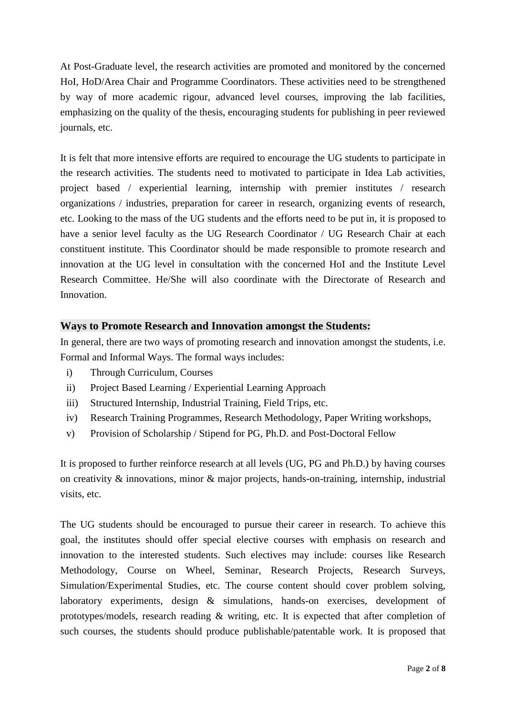At Post-Graduate level, the research activities are promoted and monitored by the concerned HoI, HoD/Area Chair and Programme Coordinators. These activities need to be strengthened by way of more academic rigour, advanced level courses, improving the lab facilities, emphasizing on the quality of the thesis, encouraging students for publishing in peer reviewed journals, etc.

It is felt that more intensive efforts are required to encourage the UG students to participate in the research activities. The students need to motivated to participate in Idea Lab activities, project based / experiential learning, internship with premier institutes / research organizations / industries, preparation for career in research, organizing events of research, etc. Looking to the mass of the UG students and the efforts need to be put in, it is proposed to have a senior level faculty as the UG Research Coordinator / UG Research Chair at each constituent institute. This Coordinator should be made responsible to promote research and innovation at the UG level in consultation with the concerned HoI and the Institute Level Research Committee. He/She will also coordinate with the Directorate of Research and Innovation.

## **Ways to Promote Research and Innovation amongst the Students:**

In general, there are two ways of promoting research and innovation amongst the students, i.e. Formal and Informal Ways. The formal ways includes:

- i) Through Curriculum, Courses
- ii) Project Based Learning / Experiential Learning Approach
- iii) Structured Internship, Industrial Training, Field Trips, etc.
- iv) Research Training Programmes, Research Methodology, Paper Writing workshops,
- v) Provision of Scholarship / Stipend for PG, Ph.D. and Post-Doctoral Fellow

It is proposed to further reinforce research at all levels (UG, PG and Ph.D.) by having courses on creativity & innovations, minor & major projects, hands-on-training, internship, industrial visits, etc.

The UG students should be encouraged to pursue their career in research. To achieve this goal, the institutes should offer special elective courses with emphasis on research and innovation to the interested students. Such electives may include: courses like Research Methodology, Course on Wheel, Seminar, Research Projects, Research Surveys, Simulation/Experimental Studies, etc. The course content should cover problem solving, laboratory experiments, design & simulations, hands-on exercises, development of prototypes/models, research reading & writing, etc. It is expected that after completion of such courses, the students should produce publishable/patentable work. It is proposed that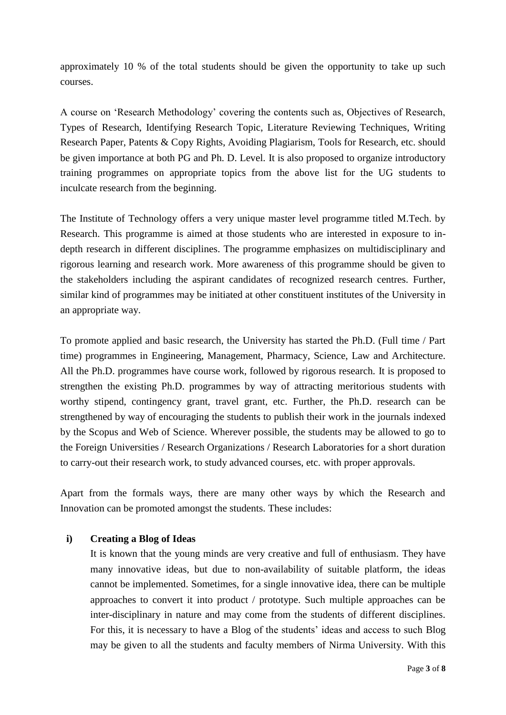approximately 10 % of the total students should be given the opportunity to take up such courses.

A course on 'Research Methodology' covering the contents such as, Objectives of Research, Types of Research, Identifying Research Topic, Literature Reviewing Techniques, Writing Research Paper, Patents & Copy Rights, Avoiding Plagiarism, Tools for Research, etc. should be given importance at both PG and Ph. D. Level. It is also proposed to organize introductory training programmes on appropriate topics from the above list for the UG students to inculcate research from the beginning.

The Institute of Technology offers a very unique master level programme titled M.Tech. by Research. This programme is aimed at those students who are interested in exposure to indepth research in different disciplines. The programme emphasizes on multidisciplinary and rigorous learning and research work. More awareness of this programme should be given to the stakeholders including the aspirant candidates of recognized research centres. Further, similar kind of programmes may be initiated at other constituent institutes of the University in an appropriate way.

To promote applied and basic research, the University has started the Ph.D. (Full time / Part time) programmes in Engineering, Management, Pharmacy, Science, Law and Architecture. All the Ph.D. programmes have course work, followed by rigorous research. It is proposed to strengthen the existing Ph.D. programmes by way of attracting meritorious students with worthy stipend, contingency grant, travel grant, etc. Further, the Ph.D. research can be strengthened by way of encouraging the students to publish their work in the journals indexed by the Scopus and Web of Science. Wherever possible, the students may be allowed to go to the Foreign Universities / Research Organizations / Research Laboratories for a short duration to carry-out their research work, to study advanced courses, etc. with proper approvals.

Apart from the formals ways, there are many other ways by which the Research and Innovation can be promoted amongst the students. These includes:

#### **i) Creating a Blog of Ideas**

It is known that the young minds are very creative and full of enthusiasm. They have many innovative ideas, but due to non-availability of suitable platform, the ideas cannot be implemented. Sometimes, for a single innovative idea, there can be multiple approaches to convert it into product / prototype. Such multiple approaches can be inter-disciplinary in nature and may come from the students of different disciplines. For this, it is necessary to have a Blog of the students' ideas and access to such Blog may be given to all the students and faculty members of Nirma University. With this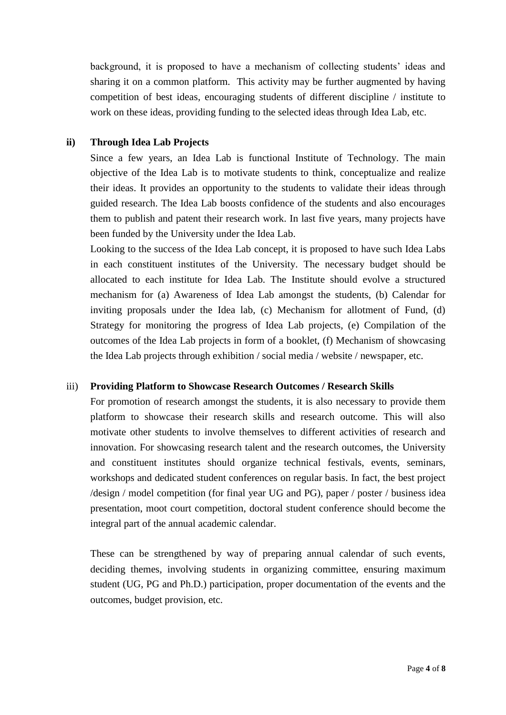background, it is proposed to have a mechanism of collecting students' ideas and sharing it on a common platform. This activity may be further augmented by having competition of best ideas, encouraging students of different discipline / institute to work on these ideas, providing funding to the selected ideas through Idea Lab, etc.

### **ii) Through Idea Lab Projects**

Since a few years, an Idea Lab is functional Institute of Technology. The main objective of the Idea Lab is to motivate students to think, conceptualize and realize their ideas. It provides an opportunity to the students to validate their ideas through guided research. The Idea Lab boosts confidence of the students and also encourages them to publish and patent their research work. In last five years, many projects have been funded by the University under the Idea Lab.

Looking to the success of the Idea Lab concept, it is proposed to have such Idea Labs in each constituent institutes of the University. The necessary budget should be allocated to each institute for Idea Lab. The Institute should evolve a structured mechanism for (a) Awareness of Idea Lab amongst the students, (b) Calendar for inviting proposals under the Idea lab, (c) Mechanism for allotment of Fund, (d) Strategy for monitoring the progress of Idea Lab projects, (e) Compilation of the outcomes of the Idea Lab projects in form of a booklet, (f) Mechanism of showcasing the Idea Lab projects through exhibition / social media / website / newspaper, etc.

#### iii) **Providing Platform to Showcase Research Outcomes / Research Skills**

For promotion of research amongst the students, it is also necessary to provide them platform to showcase their research skills and research outcome. This will also motivate other students to involve themselves to different activities of research and innovation. For showcasing research talent and the research outcomes, the University and constituent institutes should organize technical festivals, events, seminars, workshops and dedicated student conferences on regular basis. In fact, the best project /design / model competition (for final year UG and PG), paper / poster / business idea presentation, moot court competition, doctoral student conference should become the integral part of the annual academic calendar.

These can be strengthened by way of preparing annual calendar of such events, deciding themes, involving students in organizing committee, ensuring maximum student (UG, PG and Ph.D.) participation, proper documentation of the events and the outcomes, budget provision, etc.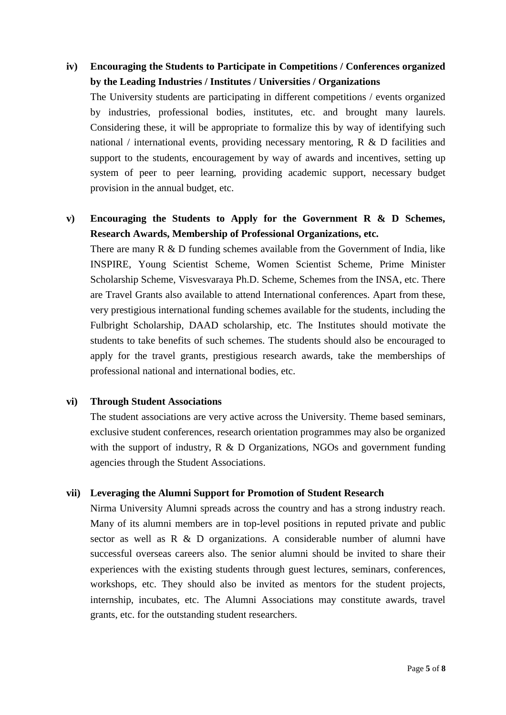## **iv) Encouraging the Students to Participate in Competitions / Conferences organized by the Leading Industries / Institutes / Universities / Organizations**

The University students are participating in different competitions / events organized by industries, professional bodies, institutes, etc. and brought many laurels. Considering these, it will be appropriate to formalize this by way of identifying such national / international events, providing necessary mentoring,  $R \& D$  facilities and support to the students, encouragement by way of awards and incentives, setting up system of peer to peer learning, providing academic support, necessary budget provision in the annual budget, etc.

## **v) Encouraging the Students to Apply for the Government R & D Schemes, Research Awards, Membership of Professional Organizations, etc.**

There are many R & D funding schemes available from the Government of India, like INSPIRE, Young Scientist Scheme, Women Scientist Scheme, Prime Minister Scholarship Scheme, Visvesvaraya Ph.D. Scheme, Schemes from the INSA, etc. There are Travel Grants also available to attend International conferences. Apart from these, very prestigious international funding schemes available for the students, including the Fulbright Scholarship, DAAD scholarship, etc. The Institutes should motivate the students to take benefits of such schemes. The students should also be encouraged to apply for the travel grants, prestigious research awards, take the memberships of professional national and international bodies, etc.

#### **vi) Through Student Associations**

The student associations are very active across the University. Theme based seminars, exclusive student conferences, research orientation programmes may also be organized with the support of industry,  $R \& D$  Organizations, NGOs and government funding agencies through the Student Associations.

## **vii) Leveraging the Alumni Support for Promotion of Student Research**

Nirma University Alumni spreads across the country and has a strong industry reach. Many of its alumni members are in top-level positions in reputed private and public sector as well as R & D organizations. A considerable number of alumni have successful overseas careers also. The senior alumni should be invited to share their experiences with the existing students through guest lectures, seminars, conferences, workshops, etc. They should also be invited as mentors for the student projects, internship, incubates, etc. The Alumni Associations may constitute awards, travel grants, etc. for the outstanding student researchers.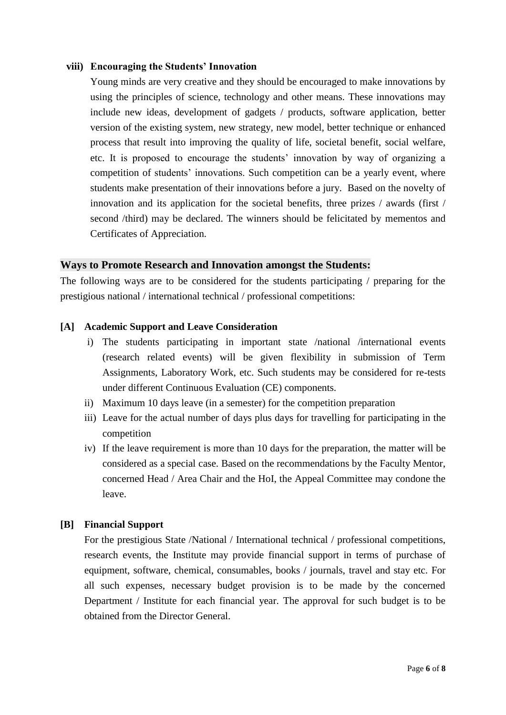#### **viii) Encouraging the Students' Innovation**

Young minds are very creative and they should be encouraged to make innovations by using the principles of science, technology and other means. These innovations may include new ideas, development of gadgets / products, software application, better version of the existing system, new strategy, new model, better technique or enhanced process that result into improving the quality of life, societal benefit, social welfare, etc. It is proposed to encourage the students' innovation by way of organizing a competition of students' innovations. Such competition can be a yearly event, where students make presentation of their innovations before a jury. Based on the novelty of innovation and its application for the societal benefits, three prizes / awards (first / second /third) may be declared. The winners should be felicitated by mementos and Certificates of Appreciation.

#### **Ways to Promote Research and Innovation amongst the Students:**

The following ways are to be considered for the students participating / preparing for the prestigious national / international technical / professional competitions:

#### **[A] Academic Support and Leave Consideration**

- i) The students participating in important state /national /international events (research related events) will be given flexibility in submission of Term Assignments, Laboratory Work, etc. Such students may be considered for re-tests under different Continuous Evaluation (CE) components.
- ii) Maximum 10 days leave (in a semester) for the competition preparation
- iii) Leave for the actual number of days plus days for travelling for participating in the competition
- iv) If the leave requirement is more than 10 days for the preparation, the matter will be considered as a special case. Based on the recommendations by the Faculty Mentor, concerned Head / Area Chair and the HoI, the Appeal Committee may condone the leave.

#### **[B] Financial Support**

For the prestigious State /National / International technical / professional competitions, research events, the Institute may provide financial support in terms of purchase of equipment, software, chemical, consumables, books / journals, travel and stay etc. For all such expenses, necessary budget provision is to be made by the concerned Department / Institute for each financial year. The approval for such budget is to be obtained from the Director General.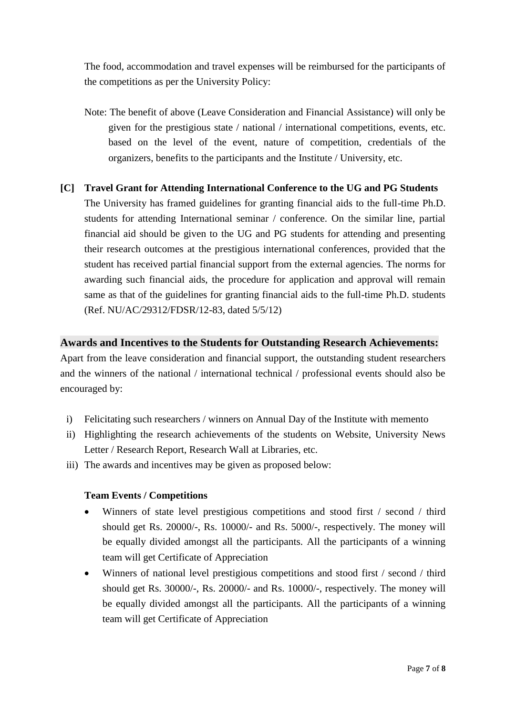The food, accommodation and travel expenses will be reimbursed for the participants of the competitions as per the University Policy:

- Note: The benefit of above (Leave Consideration and Financial Assistance) will only be given for the prestigious state / national / international competitions, events, etc. based on the level of the event, nature of competition, credentials of the organizers, benefits to the participants and the Institute / University, etc.
- **[C] Travel Grant for Attending International Conference to the UG and PG Students** The University has framed guidelines for granting financial aids to the full-time Ph.D. students for attending International seminar / conference. On the similar line, partial financial aid should be given to the UG and PG students for attending and presenting their research outcomes at the prestigious international conferences, provided that the student has received partial financial support from the external agencies. The norms for awarding such financial aids, the procedure for application and approval will remain same as that of the guidelines for granting financial aids to the full-time Ph.D. students (Ref. NU/AC/29312/FDSR/12-83, dated 5/5/12)

#### **Awards and Incentives to the Students for Outstanding Research Achievements:**

Apart from the leave consideration and financial support, the outstanding student researchers and the winners of the national / international technical / professional events should also be encouraged by:

- i) Felicitating such researchers / winners on Annual Day of the Institute with memento
- ii) Highlighting the research achievements of the students on Website, University News Letter / Research Report, Research Wall at Libraries, etc.
- iii) The awards and incentives may be given as proposed below:

## **Team Events / Competitions**

- Winners of state level prestigious competitions and stood first / second / third should get Rs. 20000/-, Rs. 10000/- and Rs. 5000/-, respectively. The money will be equally divided amongst all the participants. All the participants of a winning team will get Certificate of Appreciation
- Winners of national level prestigious competitions and stood first / second / third should get Rs. 30000/-, Rs. 20000/- and Rs. 10000/-, respectively. The money will be equally divided amongst all the participants. All the participants of a winning team will get Certificate of Appreciation